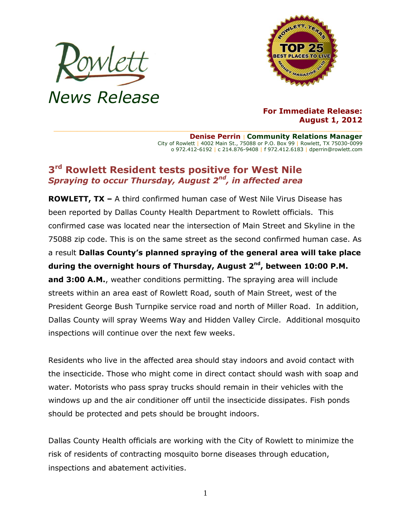



## **For Immediate Release: August 1, 2012**

**Denise Perrin** | **Community Relations Manager** City of Rowlett | 4002 Main St., 75088 or P.O. Box 99 | Rowlett, TX 75030-0099 o 972.412-6192 | c 214.876-9408 | f 972.412.6183 | dperrin@rowlett.com

## **3 rd Rowlett Resident tests positive for West Nile** *Spraying to occur Thursday, August 2nd , in affected area*

**ROWLETT, TX –** A third confirmed human case of West Nile Virus Disease has been reported by Dallas County Health Department to Rowlett officials. This confirmed case was located near the intersection of Main Street and Skyline in the 75088 zip code. This is on the same street as the second confirmed human case. As a result **Dallas County's planned spraying of the general area will take place during the overnight hours of Thursday, August 2nd , between 10:00 P.M. and 3:00 A.M.**, weather conditions permitting. The spraying area will include streets within an area east of Rowlett Road, south of Main Street, west of the President George Bush Turnpike service road and north of Miller Road. In addition, Dallas County will spray Weems Way and Hidden Valley Circle. Additional mosquito inspections will continue over the next few weeks.

Residents who live in the affected area should stay indoors and avoid contact with the insecticide. Those who might come in direct contact should wash with soap and water. Motorists who pass spray trucks should remain in their vehicles with the windows up and the air conditioner off until the insecticide dissipates. Fish ponds should be protected and pets should be brought indoors.

Dallas County Health officials are working with the City of Rowlett to minimize the risk of residents of contracting mosquito borne diseases through education, inspections and abatement activities.

1